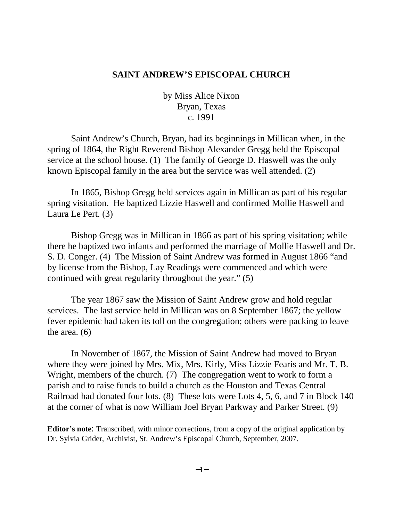## **SAINT ANDREW'S EPISCOPAL CHURCH**

by Miss Alice Nixon Bryan, Texas c. 1991

Saint Andrew's Church, Bryan, had its beginnings in Millican when, in the spring of 1864, the Right Reverend Bishop Alexander Gregg held the Episcopal service at the school house. (1) The family of George D. Haswell was the only known Episcopal family in the area but the service was well attended. (2)

In 1865, Bishop Gregg held services again in Millican as part of his regular spring visitation. He baptized Lizzie Haswell and confirmed Mollie Haswell and Laura Le Pert. (3)

Bishop Gregg was in Millican in 1866 as part of his spring visitation; while there he baptized two infants and performed the marriage of Mollie Haswell and Dr. S. D. Conger. (4) The Mission of Saint Andrew was formed in August 1866 "and by license from the Bishop, Lay Readings were commenced and which were continued with great regularity throughout the year." (5)

The year 1867 saw the Mission of Saint Andrew grow and hold regular services. The last service held in Millican was on 8 September 1867; the yellow fever epidemic had taken its toll on the congregation; others were packing to leave the area. (6)

 In November of 1867, the Mission of Saint Andrew had moved to Bryan where they were joined by Mrs. Mix, Mrs. Kirly, Miss Lizzie Fearis and Mr. T. B. Wright, members of the church. (7) The congregation went to work to form a parish and to raise funds to build a church as the Houston and Texas Central Railroad had donated four lots. (8) These lots were Lots 4, 5, 6, and 7 in Block 140 at the corner of what is now William Joel Bryan Parkway and Parker Street. (9)

**Editor's note**: Transcribed, with minor corrections, from a copy of the original application by Dr. Sylvia Grider, Archivist, St. Andrew's Episcopal Church, September, 2007.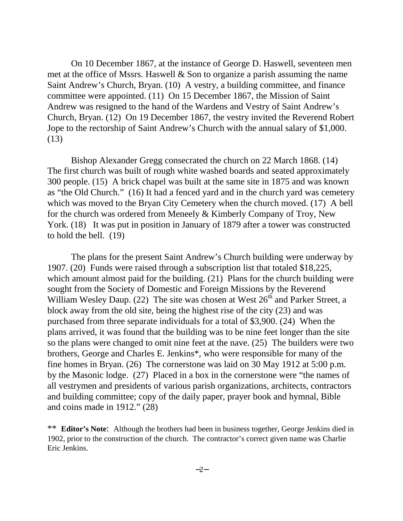On 10 December 1867, at the instance of George D. Haswell, seventeen men met at the office of Mssrs. Haswell & Son to organize a parish assuming the name Saint Andrew's Church, Bryan. (10) A vestry, a building committee, and finance committee were appointed. (11) On 15 December 1867, the Mission of Saint Andrew was resigned to the hand of the Wardens and Vestry of Saint Andrew's Church, Bryan. (12) On 19 December 1867, the vestry invited the Reverend Robert Jope to the rectorship of Saint Andrew's Church with the annual salary of \$1,000. (13)

Bishop Alexander Gregg consecrated the church on 22 March 1868. (14) The first church was built of rough white washed boards and seated approximately 300 people. (15) A brick chapel was built at the same site in 1875 and was known as "the Old Church." (16) It had a fenced yard and in the church yard was cemetery which was moved to the Bryan City Cemetery when the church moved. (17) A bell for the church was ordered from Meneely & Kimberly Company of Troy, New York. (18) It was put in position in January of 1879 after a tower was constructed to hold the bell. (19)

The plans for the present Saint Andrew's Church building were underway by 1907. (20) Funds were raised through a subscription list that totaled \$18,225, which amount almost paid for the building. (21) Plans for the church building were sought from the Society of Domestic and Foreign Missions by the Reverend William Wesley Daup.  $(22)$  The site was chosen at West  $26<sup>th</sup>$  and Parker Street, a block away from the old site, being the highest rise of the city (23) and was purchased from three separate individuals for a total of \$3,900. (24) When the plans arrived, it was found that the building was to be nine feet longer than the site so the plans were changed to omit nine feet at the nave. (25) The builders were two brothers, George and Charles E. Jenkins\*, who were responsible for many of the fine homes in Bryan. (26) The cornerstone was laid on 30 May 1912 at 5:00 p.m. by the Masonic lodge. (27) Placed in a box in the cornerstone were "the names of all vestrymen and presidents of various parish organizations, architects, contractors and building committee; copy of the daily paper, prayer book and hymnal, Bible and coins made in 1912." (28)

\*\* **Editor's Note**: Although the brothers had been in business together, George Jenkins died in 1902, prior to the construction of the church. The contractor's correct given name was Charlie Eric Jenkins.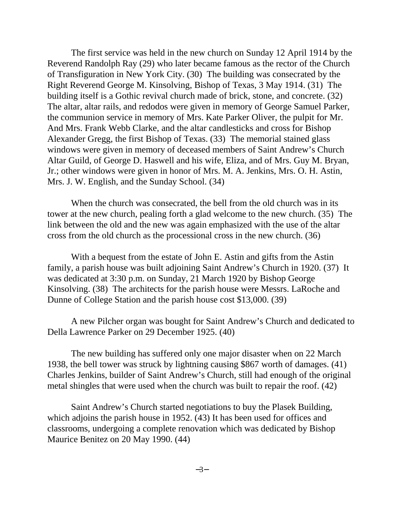The first service was held in the new church on Sunday 12 April 1914 by the Reverend Randolph Ray (29) who later became famous as the rector of the Church of Transfiguration in New York City. (30) The building was consecrated by the Right Reverend George M. Kinsolving, Bishop of Texas, 3 May 1914. (31) The building itself is a Gothic revival church made of brick, stone, and concrete. (32) The altar, altar rails, and redodos were given in memory of George Samuel Parker, the communion service in memory of Mrs. Kate Parker Oliver, the pulpit for Mr. And Mrs. Frank Webb Clarke, and the altar candlesticks and cross for Bishop Alexander Gregg, the first Bishop of Texas. (33) The memorial stained glass windows were given in memory of deceased members of Saint Andrew's Church Altar Guild, of George D. Haswell and his wife, Eliza, and of Mrs. Guy M. Bryan, Jr.; other windows were given in honor of Mrs. M. A. Jenkins, Mrs. O. H. Astin, Mrs. J. W. English, and the Sunday School. (34)

When the church was consecrated, the bell from the old church was in its tower at the new church, pealing forth a glad welcome to the new church. (35) The link between the old and the new was again emphasized with the use of the altar cross from the old church as the processional cross in the new church. (36)

With a bequest from the estate of John E. Astin and gifts from the Astin family, a parish house was built adjoining Saint Andrew's Church in 1920. (37) It was dedicated at 3:30 p.m. on Sunday, 21 March 1920 by Bishop George Kinsolving. (38) The architects for the parish house were Messrs. LaRoche and Dunne of College Station and the parish house cost \$13,000. (39)

A new Pilcher organ was bought for Saint Andrew's Church and dedicated to Della Lawrence Parker on 29 December 1925. (40)

The new building has suffered only one major disaster when on 22 March 1938, the bell tower was struck by lightning causing \$867 worth of damages. (41) Charles Jenkins, builder of Saint Andrew's Church, still had enough of the original metal shingles that were used when the church was built to repair the roof. (42)

Saint Andrew's Church started negotiations to buy the Plasek Building, which adjoins the parish house in 1952. (43) It has been used for offices and classrooms, undergoing a complete renovation which was dedicated by Bishop Maurice Benitez on 20 May 1990. (44)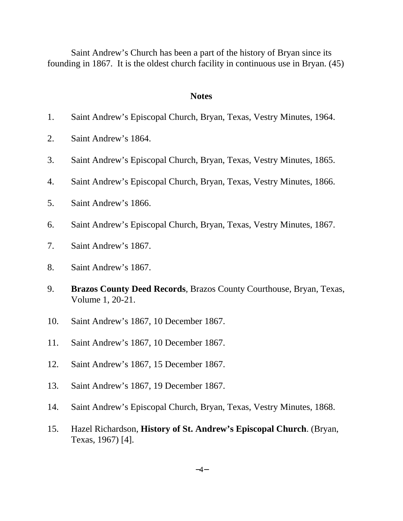Saint Andrew's Church has been a part of the history of Bryan since its founding in 1867. It is the oldest church facility in continuous use in Bryan. (45)

## **Notes**

- 1. Saint Andrew's Episcopal Church, Bryan, Texas, Vestry Minutes, 1964.
- 2. Saint Andrew's 1864.
- 3. Saint Andrew's Episcopal Church, Bryan, Texas, Vestry Minutes, 1865.
- 4. Saint Andrew's Episcopal Church, Bryan, Texas, Vestry Minutes, 1866.
- 5. Saint Andrew's 1866.
- 6. Saint Andrew's Episcopal Church, Bryan, Texas, Vestry Minutes, 1867.
- 7. Saint Andrew's 1867.
- 8. Saint Andrew's 1867.
- 9. **Brazos County Deed Records***,* Brazos County Courthouse, Bryan, Texas, Volume 1, 20-21.
- 10. Saint Andrew's 1867, 10 December 1867.
- 11. Saint Andrew's 1867, 10 December 1867.
- 12. Saint Andrew's 1867, 15 December 1867.
- 13. Saint Andrew's 1867, 19 December 1867.
- 14. Saint Andrew's Episcopal Church, Bryan, Texas, Vestry Minutes, 1868.
- 15. Hazel Richardson, **History of St. Andrew's Episcopal Church**. (Bryan, Texas, 1967) [4].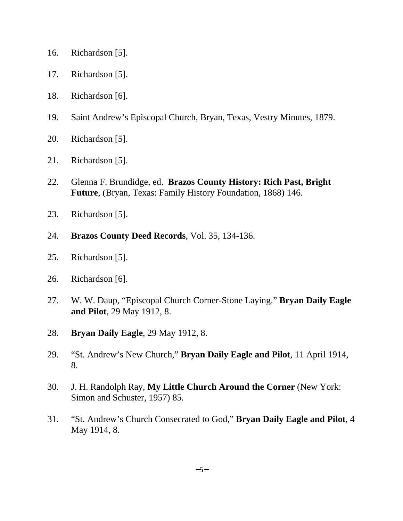- 16. Richardson [5].
- 17. Richardson [5].
- 18. Richardson [6].
- 19. Saint Andrew's Episcopal Church, Bryan, Texas, Vestry Minutes, 1879.
- 20. Richardson [5].
- 21. Richardson [5].
- 22. Glenna F. Brundidge, ed. **Brazos County History: Rich Past, Bright Future**, (Bryan, Texas: Family History Foundation, 1868) 146.
- 23. Richardson [5].
- 24. **Brazos County Deed Records**, Vol. 35, 134-136.
- 25. Richardson [5].
- 26. Richardson [6].
- 27. W. W. Daup, "Episcopal Church Corner-Stone Laying." **Bryan Daily Eagle and Pilot**, 29 May 1912, 8.
- 28. **Bryan Daily Eagle**, 29 May 1912, 8.
- 29. "St. Andrew's New Church," **Bryan Daily Eagle and Pilot**, 11 April 1914, 8.
- 30. J. H. Randolph Ray, **My Little Church Around the Corner** (New York: Simon and Schuster, 1957) 85.
- 31. "St. Andrew's Church Consecrated to God," **Bryan Daily Eagle and Pilot**, 4 May 1914, 8.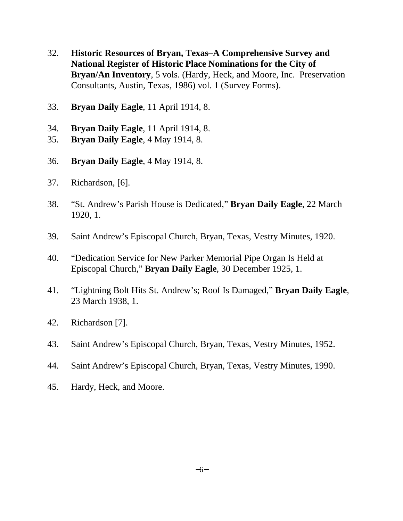- 32. **Historic Resources of Bryan, Texas–A Comprehensive Survey and National Register of Historic Place Nominations for the City of Bryan/An Inventory**, 5 vols. (Hardy, Heck, and Moore, Inc. Preservation Consultants, Austin, Texas, 1986) vol. 1 (Survey Forms).
- 33. **Bryan Daily Eagle**, 11 April 1914, 8.
- 34. **Bryan Daily Eagle**, 11 April 1914, 8.
- 35. **Bryan Daily Eagle**, 4 May 1914, 8.
- 36. **Bryan Daily Eagle**, 4 May 1914, 8.
- 37. Richardson, [6].
- 38. "St. Andrew's Parish House is Dedicated," **Bryan Daily Eagle**, 22 March 1920, 1.
- 39. Saint Andrew's Episcopal Church, Bryan, Texas, Vestry Minutes, 1920.
- 40. "Dedication Service for New Parker Memorial Pipe Organ Is Held at Episcopal Church," **Bryan Daily Eagle**, 30 December 1925, 1.
- 41. "Lightning Bolt Hits St. Andrew's; Roof Is Damaged," **Bryan Daily Eagle***,* 23 March 1938, 1.
- 42. Richardson [7].
- 43. Saint Andrew's Episcopal Church, Bryan, Texas, Vestry Minutes, 1952.
- 44. Saint Andrew's Episcopal Church, Bryan, Texas, Vestry Minutes, 1990.
- 45. Hardy, Heck, and Moore.